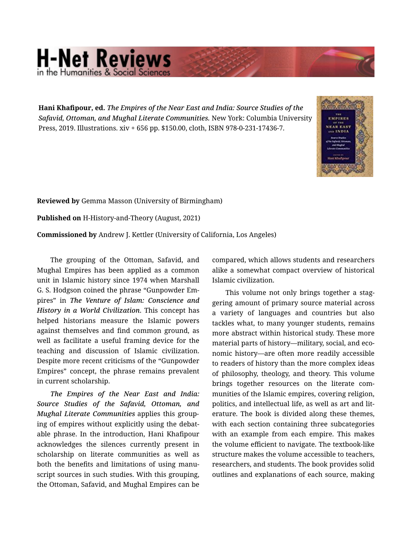## **H-Net Reviews** he Humanities & Social S

Hani Khafipour, ed. *The Empires of the Near East and India: Source Studies of the Safavid, Ottoman, and Mughal Literate Communities.* New York: Columbia University Press, 2019. Illustrations. xiv + 656 pp. \$150.00, cloth, ISBN 978-0-231-17436-7.



Reviewed by Gemma Masson (University of Birmingham)

Published on H-History-and-Theory (August, 2021)

Commissioned by Andrew J. Kettler (University of California, Los Angeles)

The grouping of the Ottoman, Safavid, and Mughal Empires has been applied as a common unit in Islamic history since 1974 when Marshall G. S. Hodgson coined the phrase "Gunpowder Em‐ pires" in *The Venture of Islam: Conscience and History in a World Civilization*. This concept has helped historians measure the Islamic powers against themselves and find common ground, as well as facilitate a useful framing device for the teaching and discussion of Islamic civilization. Despite more recent criticisms of the "Gunpowder Empires" concept, the phrase remains prevalent in current scholarship.

*The Empires of the Near East and India: Source Studies of the Safavid, Ottoman, and Mughal Literate Communities* applies this group‐ ing of empires without explicitly using the debat‐ able phrase. In the introduction, Hani Khafipour acknowledges the silences currently present in scholarship on literate communities as well as both the benefits and limitations of using manu‐ script sources in such studies. With this grouping, the Ottoman, Safavid, and Mughal Empires can be

compared, which allows students and researchers alike a somewhat compact overview of historical Islamic civilization.

This volume not only brings together a staggering amount of primary source material across a variety of languages and countries but also tackles what, to many younger students, remains more abstract within historical study. These more material parts of history—military, social, and eco‐ nomic history—are often more readily accessible to readers of history than the more complex ideas of philosophy, theology, and theory. This volume brings together resources on the literate com‐ munities of the Islamic empires, covering religion, politics, and intellectual life, as well as art and lit‐ erature. The book is divided along these themes, with each section containing three subcategories with an example from each empire. This makes the volume efficient to navigate. The textbook-like structure makes the volume accessible to teachers, researchers, and students. The book provides solid outlines and explanations of each source, making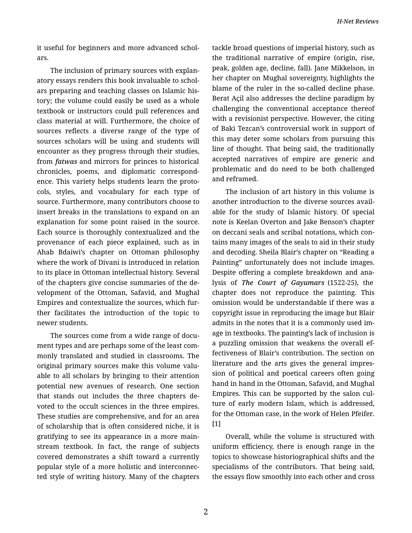it useful for beginners and more advanced schol‐ ars.

The inclusion of primary sources with explan‐ atory essays renders this book invaluable to schol‐ ars preparing and teaching classes on Islamic his‐ tory; the volume could easily be used as a whole textbook or instructors could pull references and class material at will. Furthermore, the choice of sources reflects a diverse range of the type of sources scholars will be using and students will encounter as they progress through their studies, from *fatwas* and mirrors for princes to historical chronicles, poems, and diplomatic correspond‐ ence. This variety helps students learn the proto‐ cols, styles, and vocabulary for each type of source. Furthermore, many contributors choose to insert breaks in the translations to expand on an explanation for some point raised in the source. Each source is thoroughly contextualized and the provenance of each piece explained, such as in Ahab Bdaiwi's chapter on Ottoman philosophy where the work of Divani is introduced in relation to its place in Ottoman intellectual history. Several of the chapters give concise summaries of the de‐ velopment of the Ottoman, Safavid, and Mughal Empires and contextualize the sources, which fur‐ ther facilitates the introduction of the topic to newer students.

The sources come from a wide range of docu‐ ment types and are perhaps some of the least com‐ monly translated and studied in classrooms. The original primary sources make this volume valu‐ able to all scholars by bringing to their attention potential new avenues of research. One section that stands out includes the three chapters de‐ voted to the occult sciences in the three empires. These studies are comprehensive, and for an area of scholarship that is often considered niche, it is gratifying to see its appearance in a more main‐ stream textbook. In fact, the range of subjects covered demonstrates a shift toward a currently popular style of a more holistic and interconnec‐ ted style of writing history. Many of the chapters tackle broad questions of imperial history, such as the traditional narrative of empire (origin, rise, peak, golden age, decline, fall). Jane Mikkelson, in her chapter on Mughal sovereignty, highlights the blame of the ruler in the so-called decline phase. Berat Açil also addresses the decline paradigm by challenging the conventional acceptance thereof with a revisionist perspective. However, the citing of Baki Tezcan's controversial work in support of this may deter some scholars from pursuing this line of thought. That being said, the traditionally accepted narratives of empire are generic and problematic and do need to be both challenged and reframed.

The inclusion of art history in this volume is another introduction to the diverse sources avail‐ able for the study of Islamic history. Of special note is Keelan Overton and Jake Benson's chapter on deccani seals and scribal notations, which con‐ tains many images of the seals to aid in their study and decoding. Sheila Blair's chapter on "Reading a Painting" unfortunately does not include images. Despite offering a complete breakdown and ana‐ lysis of *The Court of Gayumars* (1522-25), the chapter does not reproduce the painting. This omission would be understandable if there was a copyright issue in reproducing the image but Blair admits in the notes that it is a commonly used im‐ age in textbooks. The painting's lack of inclusion is a puzzling omission that weakens the overall ef‐ fectiveness of Blair's contribution. The section on literature and the arts gives the general impres‐ sion of political and poetical careers often going hand in hand in the Ottoman, Safavid, and Mughal Empires. This can be supported by the salon cul‐ ture of early modern Islam, which is addressed, for the Ottoman case, in the work of Helen Pfeifer. [1]

Overall, while the volume is structured with uniform efficiency, there is enough range in the topics to showcase historiographical shifts and the specialisms of the contributors. That being said, the essays flow smoothly into each other and cross

2